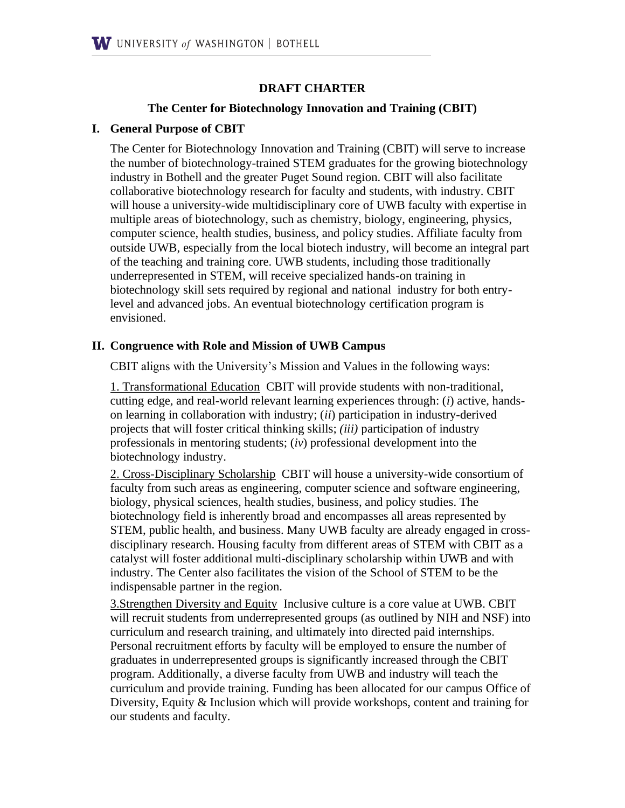### **DRAFT CHARTER**

#### **The Center for Biotechnology Innovation and Training (CBIT)**

#### **I. General Purpose of CBIT**

The Center for Biotechnology Innovation and Training (CBIT) will serve to increase the number of biotechnology-trained STEM graduates for the growing biotechnology industry in Bothell and the greater Puget Sound region. CBIT will also facilitate collaborative biotechnology research for faculty and students, with industry. CBIT will house a university-wide multidisciplinary core of UWB faculty with expertise in multiple areas of biotechnology, such as chemistry, biology, engineering, physics, computer science, health studies, business, and policy studies. Affiliate faculty from outside UWB, especially from the local biotech industry, will become an integral part of the teaching and training core. UWB students, including those traditionally underrepresented in STEM, will receive specialized hands-on training in biotechnology skill sets required by regional and national industry for both entrylevel and advanced jobs. An eventual biotechnology certification program is envisioned.

#### **II. Congruence with Role and Mission of UWB Campus**

CBIT aligns with the University's Mission and Values in the following ways:

1. Transformational Education CBIT will provide students with non-traditional, cutting edge, and real-world relevant learning experiences through: (*i*) active, handson learning in collaboration with industry; (*ii*) participation in industry-derived projects that will foster critical thinking skills; *(iii)* participation of industry professionals in mentoring students; (*iv*) professional development into the biotechnology industry.

2. Cross-Disciplinary Scholarship CBIT will house a university-wide consortium of faculty from such areas as engineering, computer science and software engineering, biology, physical sciences, health studies, business, and policy studies. The biotechnology field is inherently broad and encompasses all areas represented by STEM, public health, and business. Many UWB faculty are already engaged in crossdisciplinary research. Housing faculty from different areas of STEM with CBIT as a catalyst will foster additional multi-disciplinary scholarship within UWB and with industry. The Center also facilitates the vision of the School of STEM to be the indispensable partner in the region.

3.Strengthen Diversity and Equity Inclusive culture is a core value at UWB. CBIT will recruit students from underrepresented groups (as outlined by NIH and NSF) into curriculum and research training, and ultimately into directed paid internships. Personal recruitment efforts by faculty will be employed to ensure the number of graduates in underrepresented groups is significantly increased through the CBIT program. Additionally, a diverse faculty from UWB and industry will teach the curriculum and provide training. Funding has been allocated for our campus Office of Diversity, Equity & Inclusion which will provide workshops, content and training for our students and faculty.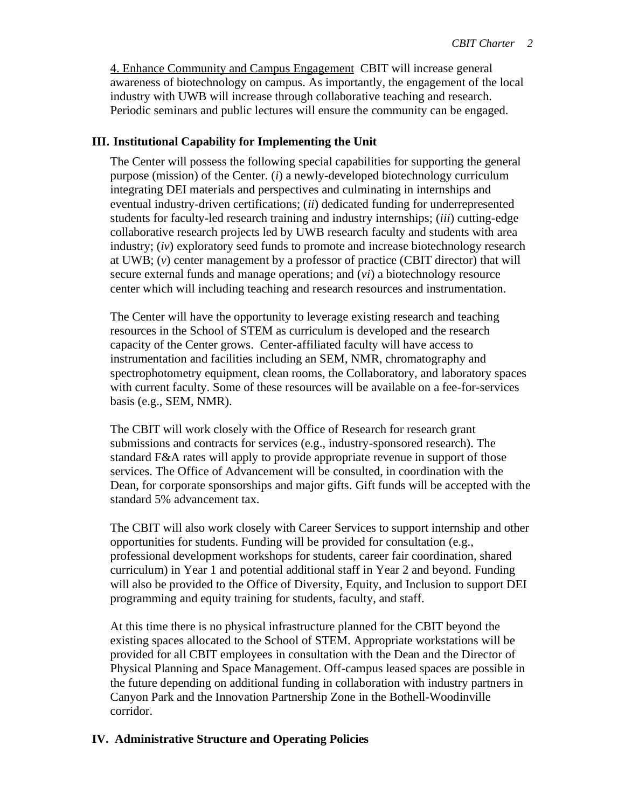4. Enhance Community and Campus Engagement CBIT will increase general awareness of biotechnology on campus. As importantly, the engagement of the local industry with UWB will increase through collaborative teaching and research. Periodic seminars and public lectures will ensure the community can be engaged.

### **III. Institutional Capability for Implementing the Unit**

The Center will possess the following special capabilities for supporting the general purpose (mission) of the Center. (*i*) a newly-developed biotechnology curriculum integrating DEI materials and perspectives and culminating in internships and eventual industry-driven certifications; (*ii*) dedicated funding for underrepresented students for faculty-led research training and industry internships; (*iii*) cutting-edge collaborative research projects led by UWB research faculty and students with area industry; (*iv*) exploratory seed funds to promote and increase biotechnology research at UWB; (*v*) center management by a professor of practice (CBIT director) that will secure external funds and manage operations; and (*vi*) a biotechnology resource center which will including teaching and research resources and instrumentation.

The Center will have the opportunity to leverage existing research and teaching resources in the School of STEM as curriculum is developed and the research capacity of the Center grows. Center-affiliated faculty will have access to instrumentation and facilities including an SEM, NMR, chromatography and spectrophotometry equipment, clean rooms, the Collaboratory, and laboratory spaces with current faculty. Some of these resources will be available on a fee-for-services basis (e.g., SEM, NMR).

The CBIT will work closely with the Office of Research for research grant submissions and contracts for services (e.g., industry-sponsored research). The standard F&A rates will apply to provide appropriate revenue in support of those services. The Office of Advancement will be consulted, in coordination with the Dean, for corporate sponsorships and major gifts. Gift funds will be accepted with the standard 5% advancement tax.

The CBIT will also work closely with Career Services to support internship and other opportunities for students. Funding will be provided for consultation (e.g., professional development workshops for students, career fair coordination, shared curriculum) in Year 1 and potential additional staff in Year 2 and beyond. Funding will also be provided to the Office of Diversity, Equity, and Inclusion to support DEI programming and equity training for students, faculty, and staff.

At this time there is no physical infrastructure planned for the CBIT beyond the existing spaces allocated to the School of STEM. Appropriate workstations will be provided for all CBIT employees in consultation with the Dean and the Director of Physical Planning and Space Management. Off-campus leased spaces are possible in the future depending on additional funding in collaboration with industry partners in Canyon Park and the Innovation Partnership Zone in the Bothell-Woodinville corridor.

# **IV. Administrative Structure and Operating Policies**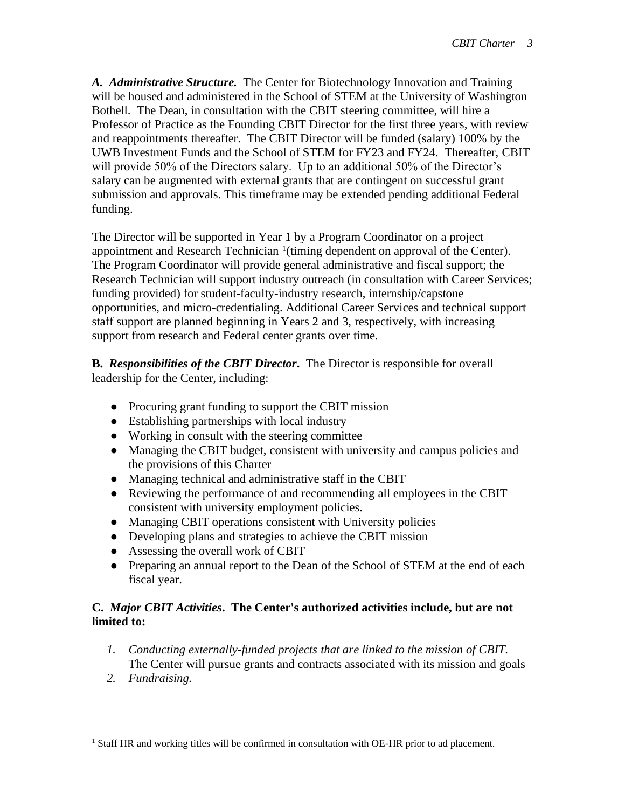*A. Administrative Structure.* The Center for Biotechnology Innovation and Training will be housed and administered in the School of STEM at the University of Washington Bothell. The Dean, in consultation with the CBIT steering committee, will hire a Professor of Practice as the Founding CBIT Director for the first three years, with review and reappointments thereafter. The CBIT Director will be funded (salary) 100% by the UWB Investment Funds and the School of STEM for FY23 and FY24. Thereafter, CBIT will provide 50% of the Directors salary. Up to an additional 50% of the Director's salary can be augmented with external grants that are contingent on successful grant submission and approvals. This timeframe may be extended pending additional Federal funding.

The Director will be supported in Year 1 by a Program Coordinator on a project appointment and Research Technician  $1$ <sup>(timing dependent on approval of the Center).</sup> The Program Coordinator will provide general administrative and fiscal support; the Research Technician will support industry outreach (in consultation with Career Services; funding provided) for student-faculty-industry research, internship/capstone opportunities, and micro-credentialing. Additional Career Services and technical support staff support are planned beginning in Years 2 and 3, respectively, with increasing support from research and Federal center grants over time.

**B.** *Responsibilities of the CBIT Director***.** The Director is responsible for overall leadership for the Center, including:

- Procuring grant funding to support the CBIT mission
- Establishing partnerships with local industry
- Working in consult with the steering committee
- Managing the CBIT budget, consistent with university and campus policies and the provisions of this Charter
- Managing technical and administrative staff in the CBIT
- Reviewing the performance of and recommending all employees in the CBIT consistent with university employment policies.
- Managing CBIT operations consistent with University policies
- Developing plans and strategies to achieve the CBIT mission
- Assessing the overall work of CBIT
- Preparing an annual report to the Dean of the School of STEM at the end of each fiscal year.

# **C.** *Major CBIT Activities***. The Center's authorized activities include, but are not limited to:**

- *1. Conducting externally-funded projects that are linked to the mission of CBIT.*  The Center will pursue grants and contracts associated with its mission and goals
- *2. Fundraising.*

<sup>&</sup>lt;sup>1</sup> Staff HR and working titles will be confirmed in consultation with OE-HR prior to ad placement.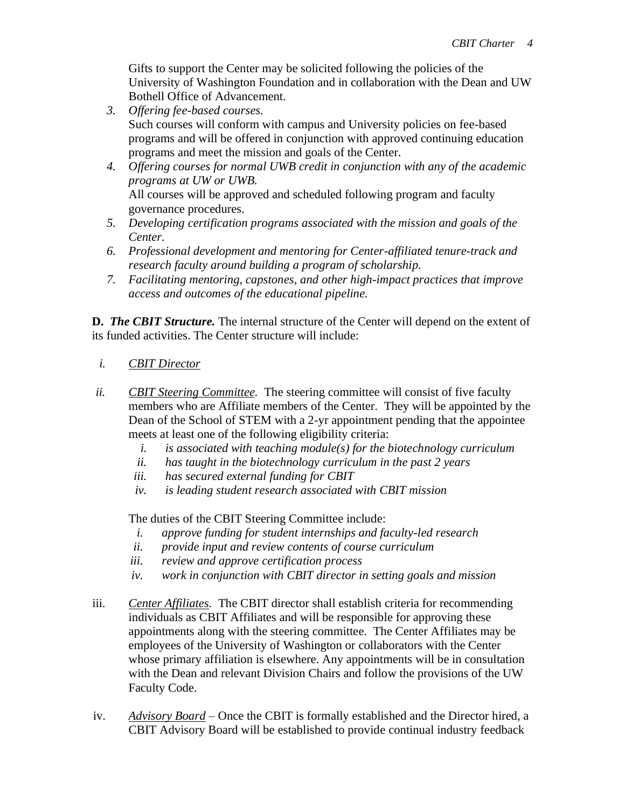Gifts to support the Center may be solicited following the policies of the University of Washington Foundation and in collaboration with the Dean and UW Bothell Office of Advancement.

- *3. Offering fee-based courses.*  Such courses will conform with campus and University policies on fee-based programs and will be offered in conjunction with approved continuing education programs and meet the mission and goals of the Center.
- *4. Offering courses for normal UWB credit in conjunction with any of the academic programs at UW or UWB.*  All courses will be approved and scheduled following program and faculty governance procedures.
- *5. Developing certification programs associated with the mission and goals of the Center.*
- *6. Professional development and mentoring for Center-affiliated tenure-track and research faculty around building a program of scholarship.*
- *7. Facilitating mentoring, capstones, and other high-impact practices that improve access and outcomes of the educational pipeline.*

**D.** *The CBIT Structure.* The internal structure of the Center will depend on the extent of its funded activities. The Center structure will include:

- *i. CBIT Director*
- *ii. CBIT Steering Committee.* The steering committee will consist of five faculty members who are Affiliate members of the Center. They will be appointed by the Dean of the School of STEM with a 2-yr appointment pending that the appointee meets at least one of the following eligibility criteria:
	- *i. is associated with teaching module(s) for the biotechnology curriculum*
	- *ii. has taught in the biotechnology curriculum in the past 2 years*
	- *iii. has secured external funding for CBIT*
	- *iv. is leading student research associated with CBIT mission*

The duties of the CBIT Steering Committee include:

- *i. approve funding for student internships and faculty-led research*
- *ii. provide input and review contents of course curriculum*
- *iii. review and approve certification process*
- *iv. work in conjunction with CBIT director in setting goals and mission*
- iii. *Center Affiliates.* The CBIT director shall establish criteria for recommending individuals as CBIT Affiliates and will be responsible for approving these appointments along with the steering committee. The Center Affiliates may be employees of the University of Washington or collaborators with the Center whose primary affiliation is elsewhere. Any appointments will be in consultation with the Dean and relevant Division Chairs and follow the provisions of the UW Faculty Code.
- iv. *Advisory Board –* Once the CBIT is formally established and the Director hired, a CBIT Advisory Board will be established to provide continual industry feedback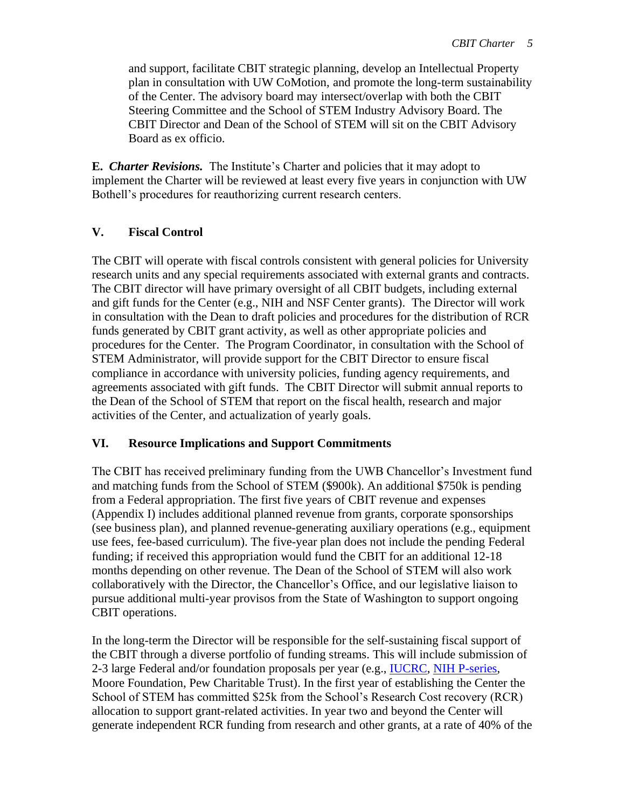and support, facilitate CBIT strategic planning, develop an Intellectual Property plan in consultation with UW CoMotion, and promote the long-term sustainability of the Center. The advisory board may intersect/overlap with both the CBIT Steering Committee and the School of STEM Industry Advisory Board. The CBIT Director and Dean of the School of STEM will sit on the CBIT Advisory Board as ex officio.

**E.** *Charter Revisions.* The Institute's Charter and policies that it may adopt to implement the Charter will be reviewed at least every five years in conjunction with UW Bothell's procedures for reauthorizing current research centers.

# **V. Fiscal Control**

The CBIT will operate with fiscal controls consistent with general policies for University research units and any special requirements associated with external grants and contracts. The CBIT director will have primary oversight of all CBIT budgets, including external and gift funds for the Center (e.g., NIH and NSF Center grants). The Director will work in consultation with the Dean to draft policies and procedures for the distribution of RCR funds generated by CBIT grant activity, as well as other appropriate policies and procedures for the Center. The Program Coordinator, in consultation with the School of STEM Administrator, will provide support for the CBIT Director to ensure fiscal compliance in accordance with university policies, funding agency requirements, and agreements associated with gift funds. The CBIT Director will submit annual reports to the Dean of the School of STEM that report on the fiscal health, research and major activities of the Center, and actualization of yearly goals.

# **VI. Resource Implications and Support Commitments**

The CBIT has received preliminary funding from the UWB Chancellor's Investment fund and matching funds from the School of STEM (\$900k). An additional \$750k is pending from a Federal appropriation. The first five years of CBIT revenue and expenses (Appendix I) includes additional planned revenue from grants, corporate sponsorships (see business plan), and planned revenue-generating auxiliary operations (e.g., equipment use fees, fee-based curriculum). The five-year plan does not include the pending Federal funding; if received this appropriation would fund the CBIT for an additional 12-18 months depending on other revenue. The Dean of the School of STEM will also work collaboratively with the Director, the Chancellor's Office, and our legislative liaison to pursue additional multi-year provisos from the State of Washington to support ongoing CBIT operations.

In the long-term the Director will be responsible for the self-sustaining fiscal support of the CBIT through a diverse portfolio of funding streams. This will include submission of 2-3 large Federal and/or foundation proposals per year (e.g., [IUCRC,](https://iucrc.nsf.gov/) [NIH P-series,](https://grants.nih.gov/grants/funding/funding_program.htm#PSeries) Moore Foundation, Pew Charitable Trust). In the first year of establishing the Center the School of STEM has committed \$25k from the School's Research Cost recovery (RCR) allocation to support grant-related activities. In year two and beyond the Center will generate independent RCR funding from research and other grants, at a rate of 40% of the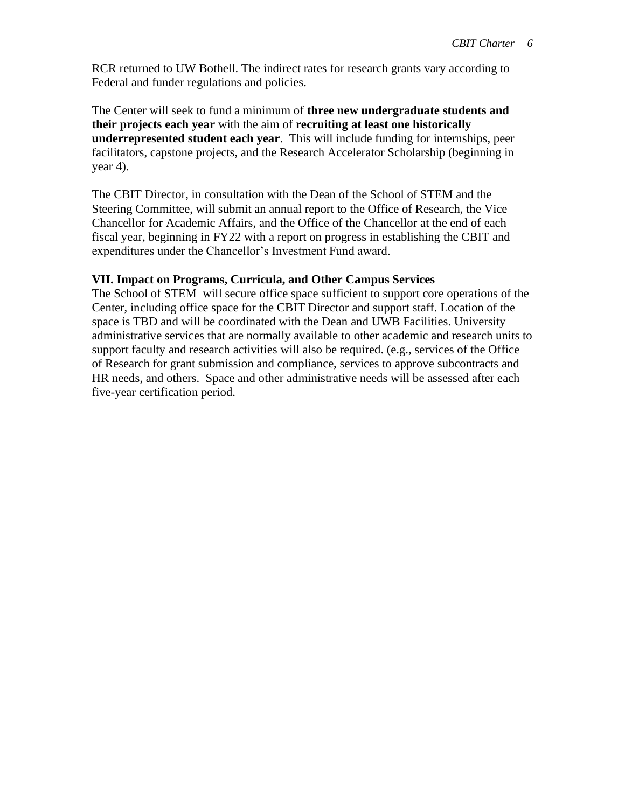RCR returned to UW Bothell. The indirect rates for research grants vary according to Federal and funder regulations and policies.

The Center will seek to fund a minimum of **three new undergraduate students and their projects each year** with the aim of **recruiting at least one historically underrepresented student each year**. This will include funding for internships, peer facilitators, capstone projects, and the Research Accelerator Scholarship (beginning in  $year 4$ ).

The CBIT Director, in consultation with the Dean of the School of STEM and the Steering Committee, will submit an annual report to the Office of Research, the Vice Chancellor for Academic Affairs, and the Office of the Chancellor at the end of each fiscal year, beginning in FY22 with a report on progress in establishing the CBIT and expenditures under the Chancellor's Investment Fund award.

#### **VII. Impact on Programs, Curricula, and Other Campus Services**

The School of STEM will secure office space sufficient to support core operations of the Center, including office space for the CBIT Director and support staff. Location of the space is TBD and will be coordinated with the Dean and UWB Facilities. University administrative services that are normally available to other academic and research units to support faculty and research activities will also be required. (e.g., services of the Office of Research for grant submission and compliance, services to approve subcontracts and HR needs, and others. Space and other administrative needs will be assessed after each five-year certification period.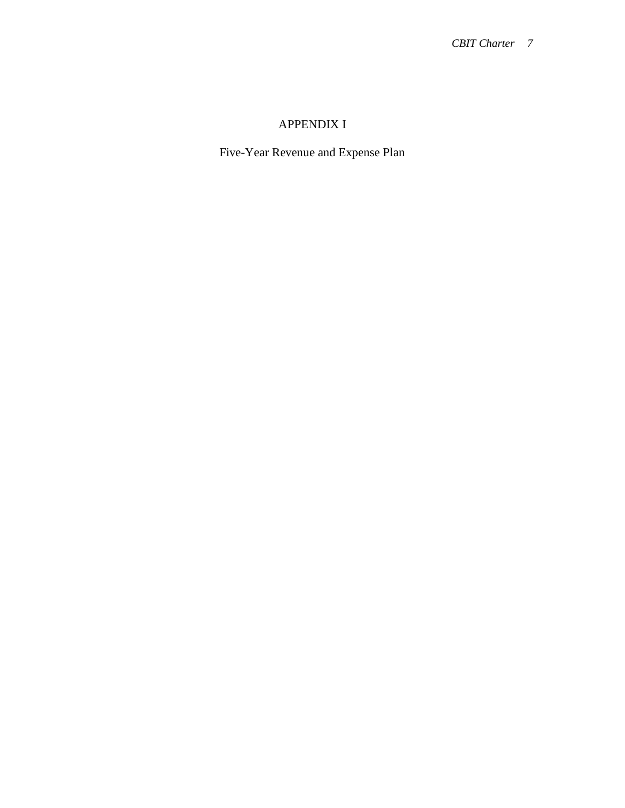# APPENDIX I

Five-Year Revenue and Expense Plan